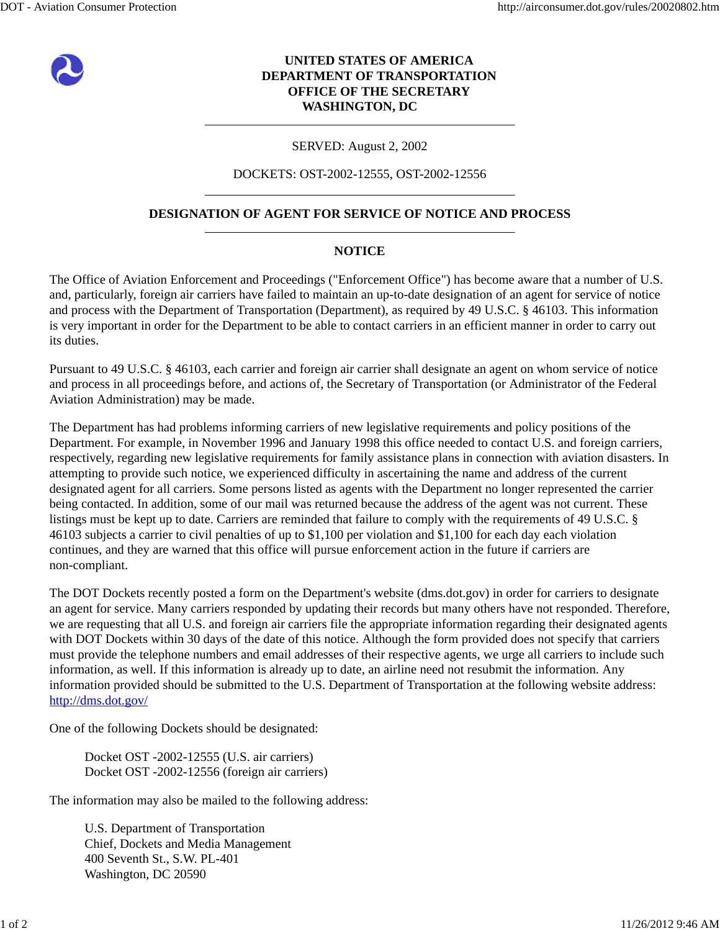

# **UNITED STATES OF AMERICA DEPARTMENT OF TRANSPORTATION OFFICE OF THE SECRETARY WASHINGTON, DC**

### SERVED: August 2, 2002

#### DOCKETS: OST-2002-12555, OST-2002-12556

## **DESIGNATION OF AGENT FOR SERVICE OF NOTICE AND PROCESS**

#### **NOTICE**

The Office of Aviation Enforcement and Proceedings ("Enforcement Office") has become aware that a number of U.S. and, particularly, foreign air carriers have failed to maintain an up-to-date designation of an agent for service of notice and process with the Department of Transportation (Department), as required by 49 U.S.C. § 46103. This information is very important in order for the Department to be able to contact carriers in an efficient manner in order to carry out its duties.

Pursuant to 49 U.S.C. § 46103, each carrier and foreign air carrier shall designate an agent on whom service of notice and process in all proceedings before, and actions of, the Secretary of Transportation (or Administrator of the Federal Aviation Administration) may be made.

The Department has had problems informing carriers of new legislative requirements and policy positions of the Department. For example, in November 1996 and January 1998 this office needed to contact U.S. and foreign carriers, respectively, regarding new legislative requirements for family assistance plans in connection with aviation disasters. In attempting to provide such notice, we experienced difficulty in ascertaining the name and address of the current designated agent for all carriers. Some persons listed as agents with the Department no longer represented the carrier being contacted. In addition, some of our mail was returned because the address of the agent was not current. These listings must be kept up to date. Carriers are reminded that failure to comply with the requirements of 49 U.S.C. § 46103 subjects a carrier to civil penalties of up to \$1,100 per violation and \$1,100 for each day each violation continues, and they are warned that this office will pursue enforcement action in the future if carriers are non-compliant.

The DOT Dockets recently posted a form on the Department's website (dms.dot.gov) in order for carriers to designate an agent for service. Many carriers responded by updating their records but many others have not responded. Therefore, we are requesting that all U.S. and foreign air carriers file the appropriate information regarding their designated agents with DOT Dockets within 30 days of the date of this notice. Although the form provided does not specify that carriers must provide the telephone numbers and email addresses of their respective agents, we urge all carriers to include such information, as well. If this information is already up to date, an airline need not resubmit the information. Any information provided should be submitted to the U.S. Department of Transportation at the following website address: http://dms.dot.gov/

One of the following Dockets should be designated:

Docket OST -2002-12555 (U.S. air carriers) Docket OST -2002-12556 (foreign air carriers)

The information may also be mailed to the following address:

U.S. Department of Transportation Chief, Dockets and Media Management 400 Seventh St., S.W. PL-401 Washington, DC 20590